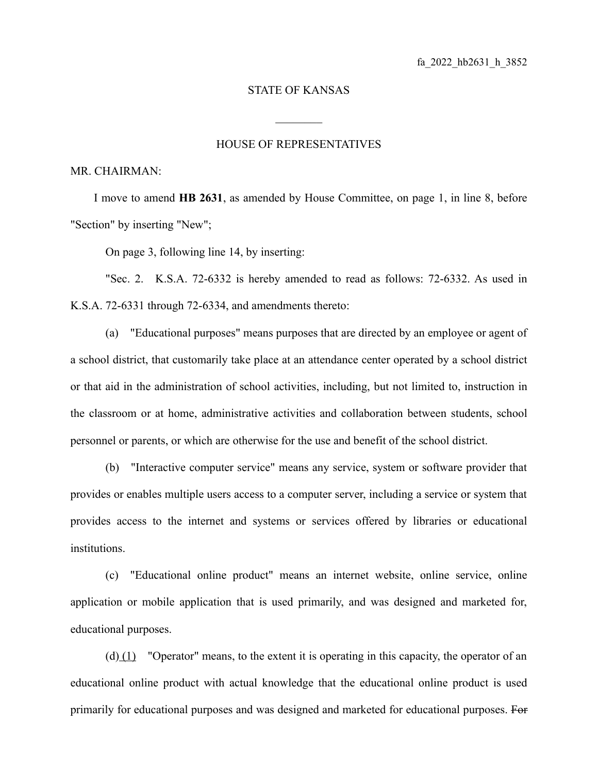## STATE OF KANSAS

 $\mathcal{L}_\text{max}$ 

## HOUSE OF REPRESENTATIVES

MR. CHAIRMAN:

I move to amend **HB 2631**, as amended by House Committee, on page 1, in line 8, before "Section" by inserting "New";

On page 3, following line 14, by inserting:

"Sec. 2. K.S.A. 72-6332 is hereby amended to read as follows: 72-6332. As used in K.S.A. 72-6331 through 72-6334, and amendments thereto:

(a) "Educational purposes" means purposes that are directed by an employee or agent of a school district, that customarily take place at an attendance center operated by a school district or that aid in the administration of school activities, including, but not limited to, instruction in the classroom or at home, administrative activities and collaboration between students, school personnel or parents, or which are otherwise for the use and benefit of the school district.

(b) "Interactive computer service" means any service, system or software provider that provides or enables multiple users access to a computer server, including a service or system that provides access to the internet and systems or services offered by libraries or educational institutions.

(c) "Educational online product" means an internet website, online service, online application or mobile application that is used primarily, and was designed and marketed for, educational purposes.

(d) (1) "Operator" means, to the extent it is operating in this capacity, the operator of an educational online product with actual knowledge that the educational online product is used primarily for educational purposes and was designed and marketed for educational purposes. For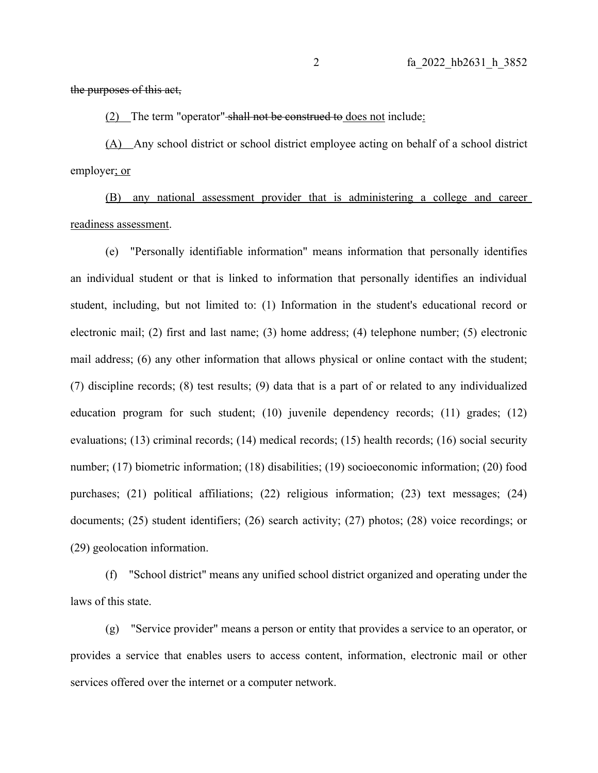## the purposes of this act,

(2) The term "operator" shall not be construed to does not include:

(A) Any school district or school district employee acting on behalf of a school district employer; or

(B) any national assessment provider that is administering a college and career readiness assessment.

(e) "Personally identifiable information" means information that personally identifies an individual student or that is linked to information that personally identifies an individual student, including, but not limited to: (1) Information in the student's educational record or electronic mail; (2) first and last name; (3) home address; (4) telephone number; (5) electronic mail address; (6) any other information that allows physical or online contact with the student; (7) discipline records; (8) test results; (9) data that is a part of or related to any individualized education program for such student; (10) juvenile dependency records; (11) grades; (12) evaluations; (13) criminal records; (14) medical records; (15) health records; (16) social security number; (17) biometric information; (18) disabilities; (19) socioeconomic information; (20) food purchases; (21) political affiliations; (22) religious information; (23) text messages; (24) documents; (25) student identifiers; (26) search activity; (27) photos; (28) voice recordings; or (29) geolocation information.

(f) "School district" means any unified school district organized and operating under the laws of this state.

(g) "Service provider" means a person or entity that provides a service to an operator, or provides a service that enables users to access content, information, electronic mail or other services offered over the internet or a computer network.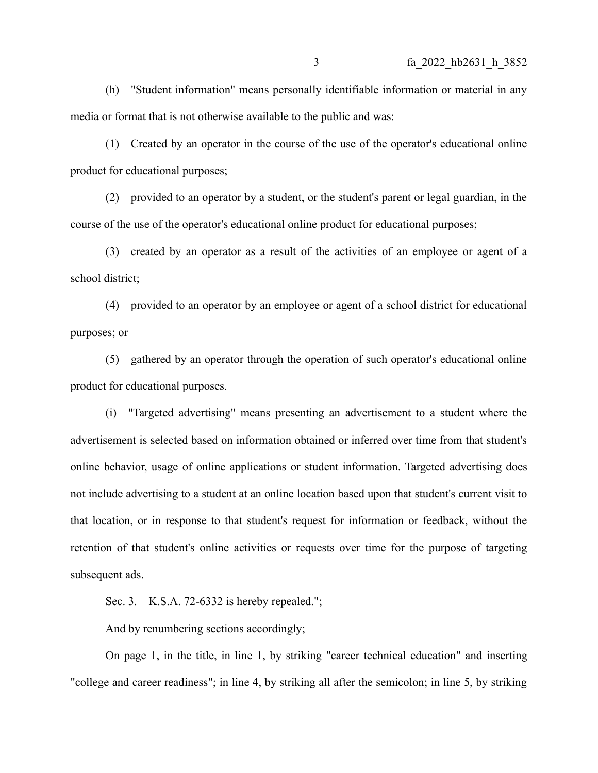(h) "Student information" means personally identifiable information or material in any media or format that is not otherwise available to the public and was:

(1) Created by an operator in the course of the use of the operator's educational online product for educational purposes;

(2) provided to an operator by a student, or the student's parent or legal guardian, in the course of the use of the operator's educational online product for educational purposes;

(3) created by an operator as a result of the activities of an employee or agent of a school district;

(4) provided to an operator by an employee or agent of a school district for educational purposes; or

(5) gathered by an operator through the operation of such operator's educational online product for educational purposes.

(i) "Targeted advertising" means presenting an advertisement to a student where the advertisement is selected based on information obtained or inferred over time from that student's online behavior, usage of online applications or student information. Targeted advertising does not include advertising to a student at an online location based upon that student's current visit to that location, or in response to that student's request for information or feedback, without the retention of that student's online activities or requests over time for the purpose of targeting subsequent ads.

Sec. 3. K.S.A. 72-6332 is hereby repealed.";

And by renumbering sections accordingly;

On page 1, in the title, in line 1, by striking "career technical education" and inserting "college and career readiness"; in line 4, by striking all after the semicolon; in line 5, by striking